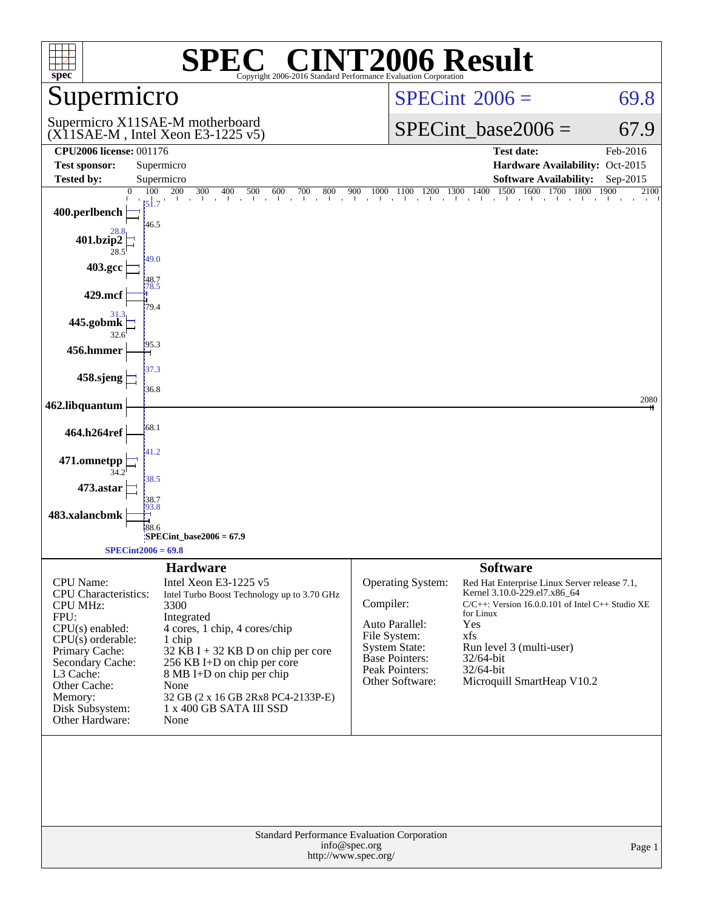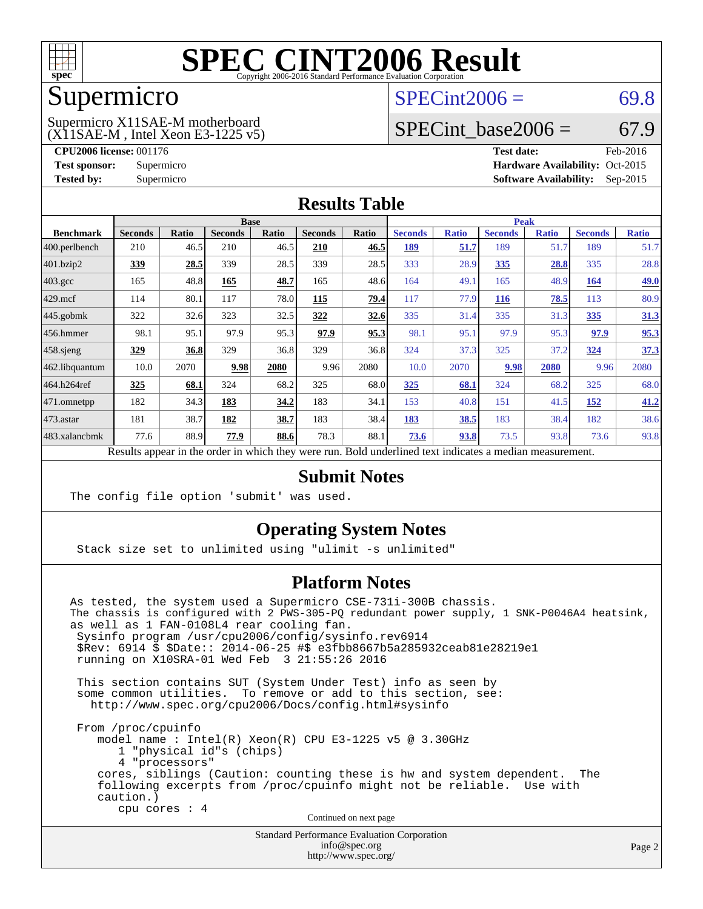

### Supermicro

#### (X11SAE-M , Intel Xeon E3-1225 v5) Supermicro X11SAE-M motherboard

 $SPECint2006 = 69.8$  $SPECint2006 = 69.8$ 

### SPECint base2006 =  $67.9$

**[CPU2006 license:](http://www.spec.org/auto/cpu2006/Docs/result-fields.html#CPU2006license)** 001176 **[Test date:](http://www.spec.org/auto/cpu2006/Docs/result-fields.html#Testdate)** Feb-2016 **[Test sponsor:](http://www.spec.org/auto/cpu2006/Docs/result-fields.html#Testsponsor)** Supermicro Supermicro **[Hardware Availability:](http://www.spec.org/auto/cpu2006/Docs/result-fields.html#HardwareAvailability)** Oct-2015 **[Tested by:](http://www.spec.org/auto/cpu2006/Docs/result-fields.html#Testedby)** Supermicro **Supermicro [Software Availability:](http://www.spec.org/auto/cpu2006/Docs/result-fields.html#SoftwareAvailability)** Sep-2015

#### **[Results Table](http://www.spec.org/auto/cpu2006/Docs/result-fields.html#ResultsTable)**

|                                                                                                          | <b>Base</b>    |              |                |              |                |       | <b>Peak</b>    |              |                |              |                |              |
|----------------------------------------------------------------------------------------------------------|----------------|--------------|----------------|--------------|----------------|-------|----------------|--------------|----------------|--------------|----------------|--------------|
| <b>Benchmark</b>                                                                                         | <b>Seconds</b> | <b>Ratio</b> | <b>Seconds</b> | <b>Ratio</b> | <b>Seconds</b> | Ratio | <b>Seconds</b> | <b>Ratio</b> | <b>Seconds</b> | <b>Ratio</b> | <b>Seconds</b> | <b>Ratio</b> |
| $ 400$ .perlbench                                                                                        | 210            | 46.5         | 210            | 46.5         | 210            | 46.5  | 189            | 51.7         | 189            | 51.7         | 189            | 51.7         |
| 401.bzip2                                                                                                | 339            | 28.5         | 339            | 28.5         | 339            | 28.5  | 333            | 28.9         | 335            | 28.8         | 335            | 28.8         |
| $403.\text{gcc}$                                                                                         | 165            | 48.8         | 165            | 48.7         | 165            | 48.6  | 164            | 49.1         | 165            | 48.9         | 164            | <u>49.0</u>  |
| $429$ .mcf                                                                                               | 114            | 80.1         | 117            | 78.0         | 115            | 79.4  | 117            | 77.9         | <b>116</b>     | 78.5         | 113            | 80.9         |
| $445$ .gobmk                                                                                             | 322            | 32.6         | 323            | 32.5         | 322            | 32.6  | 335            | 31.4         | 335            | 31.3         | 335            | 31.3         |
| 456.hmmer                                                                                                | 98.1           | 95.1         | 97.9           | 95.3         | 97.9           | 95.3  | 98.1           | 95.1         | 97.9           | 95.3         | 97.9           | 95.3         |
| $458$ .sjeng                                                                                             | 329            | 36.8         | 329            | 36.8         | 329            | 36.8  | 324            | 37.3         | 325            | 37.2         | 324            | 37.3         |
| 462.libquantum                                                                                           | 10.0           | 2070         | 9.98           | 2080         | 9.96           | 2080  | 10.0           | 2070         | 9.98           | 2080         | 9.96           | 2080         |
| 464.h264ref                                                                                              | 325            | 68.1         | 324            | 68.2         | 325            | 68.0  | 325            | 68.1         | 324            | 68.2         | 325            | 68.0         |
| 471.omnetpp                                                                                              | 182            | 34.3         | 183            | 34.2         | 183            | 34.1  | 153            | 40.8         | 151            | 41.5         | 152            | 41.2         |
| $ 473$ . astar                                                                                           | 181            | 38.7         | 182            | 38.7         | 183            | 38.4  | 183            | 38.5         | 183            | 38.4         | 182            | 38.6         |
| 483.xalancbmk                                                                                            | 77.6           | 88.9         | 77.9           | 88.6         | 78.3           | 88.1  | 73.6           | 93.8         | 73.5           | 93.8         | 73.6           | 93.8         |
| Results appear in the order in which they were run. Bold underlined text indicates a median measurement. |                |              |                |              |                |       |                |              |                |              |                |              |

### **[Submit Notes](http://www.spec.org/auto/cpu2006/Docs/result-fields.html#SubmitNotes)**

The config file option 'submit' was used.

### **[Operating System Notes](http://www.spec.org/auto/cpu2006/Docs/result-fields.html#OperatingSystemNotes)**

Stack size set to unlimited using "ulimit -s unlimited"

### **[Platform Notes](http://www.spec.org/auto/cpu2006/Docs/result-fields.html#PlatformNotes)**

As tested, the system used a Supermicro CSE-731i-300B chassis. The chassis is configured with 2 PWS-305-PQ redundant power supply, 1 SNK-P0046A4 heatsink, as well as 1 FAN-0108L4 rear cooling fan. Sysinfo program /usr/cpu2006/config/sysinfo.rev6914 \$Rev: 6914 \$ \$Date:: 2014-06-25 #\$ e3fbb8667b5a285932ceab81e28219e1 running on X10SRA-01 Wed Feb 3 21:55:26 2016 This section contains SUT (System Under Test) info as seen by some common utilities. To remove or add to this section, see: <http://www.spec.org/cpu2006/Docs/config.html#sysinfo> From /proc/cpuinfo model name : Intel(R) Xeon(R) CPU E3-1225 v5 @ 3.30GHz 1 "physical id"s (chips) 4 "processors" cores, siblings (Caution: counting these is hw and system dependent. The following excerpts from /proc/cpuinfo might not be reliable. Use with caution.) cpu cores : 4 Continued on next page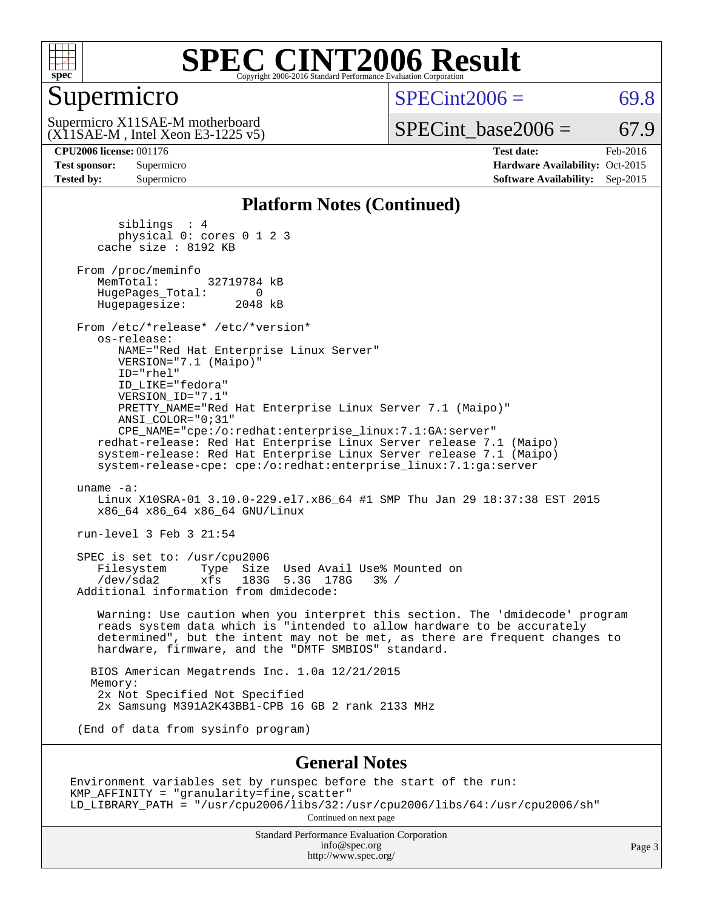

### Supermicro

 $SPECint2006 = 69.8$  $SPECint2006 = 69.8$ 

(X11SAE-M , Intel Xeon E3-1225 v5) Supermicro X11SAE-M motherboard

 $SPECTnt\_base2006 = 67.9$ 

**[CPU2006 license:](http://www.spec.org/auto/cpu2006/Docs/result-fields.html#CPU2006license)** 001176 **[Test date:](http://www.spec.org/auto/cpu2006/Docs/result-fields.html#Testdate)** Feb-2016 **[Test sponsor:](http://www.spec.org/auto/cpu2006/Docs/result-fields.html#Testsponsor)** Supermicro Supermicro **[Hardware Availability:](http://www.spec.org/auto/cpu2006/Docs/result-fields.html#HardwareAvailability)** Oct-2015 **[Tested by:](http://www.spec.org/auto/cpu2006/Docs/result-fields.html#Testedby)** Supermicro **Supermicro [Software Availability:](http://www.spec.org/auto/cpu2006/Docs/result-fields.html#SoftwareAvailability)** Sep-2015

#### **[Platform Notes \(Continued\)](http://www.spec.org/auto/cpu2006/Docs/result-fields.html#PlatformNotes)**

 siblings : 4 physical 0: cores 0 1 2 3 cache size : 8192 KB From /proc/meminfo<br>MemTotal: 32719784 kB HugePages\_Total: 0<br>Hugepagesize: 2048 kB Hugepagesize: From /etc/\*release\* /etc/\*version\* os-release: NAME="Red Hat Enterprise Linux Server" VERSION="7.1 (Maipo)" ID="rhel" ID\_LIKE="fedora" VERSION\_ID="7.1" PRETTY\_NAME="Red Hat Enterprise Linux Server 7.1 (Maipo)" ANSI\_COLOR="0;31" CPE\_NAME="cpe:/o:redhat:enterprise\_linux:7.1:GA:server" redhat-release: Red Hat Enterprise Linux Server release 7.1 (Maipo) system-release: Red Hat Enterprise Linux Server release 7.1 (Maipo) system-release-cpe: cpe:/o:redhat:enterprise\_linux:7.1:ga:server uname -a: Linux X10SRA-01 3.10.0-229.el7.x86\_64 #1 SMP Thu Jan 29 18:37:38 EST 2015 x86\_64 x86\_64 x86\_64 GNU/Linux run-level 3 Feb 3 21:54 SPEC is set to: /usr/cpu2006 Filesystem Type Size Used Avail Use% Mounted on<br>  $\frac{1}{10}$  The  $\frac{1}{10}$  The  $\frac{1}{10}$  The  $\frac{1}{10}$  The  $\frac{1}{10}$  The  $\frac{1}{10}$  The  $\frac{1}{10}$  The  $\frac{1}{10}$  The  $\frac{1}{10}$  The  $\frac{1}{10}$  The  $\frac{1}{10}$  The  $\frac{1}{10$  $xfs$  183G 5.3G 178G 3% / Additional information from dmidecode: Warning: Use caution when you interpret this section. The 'dmidecode' program reads system data which is "intended to allow hardware to be accurately determined", but the intent may not be met, as there are frequent changes to hardware, firmware, and the "DMTF SMBIOS" standard. BIOS American Megatrends Inc. 1.0a 12/21/2015 Memory: 2x Not Specified Not Specified 2x Samsung M391A2K43BB1-CPB 16 GB 2 rank 2133 MHz (End of data from sysinfo program) **[General Notes](http://www.spec.org/auto/cpu2006/Docs/result-fields.html#GeneralNotes)** Environment variables set by runspec before the start of the run: KMP\_AFFINITY = "granularity=fine,scatter"

LD\_LIBRARY\_PATH = "/usr/cpu2006/libs/32:/usr/cpu2006/libs/64:/usr/cpu2006/sh"

Continued on next page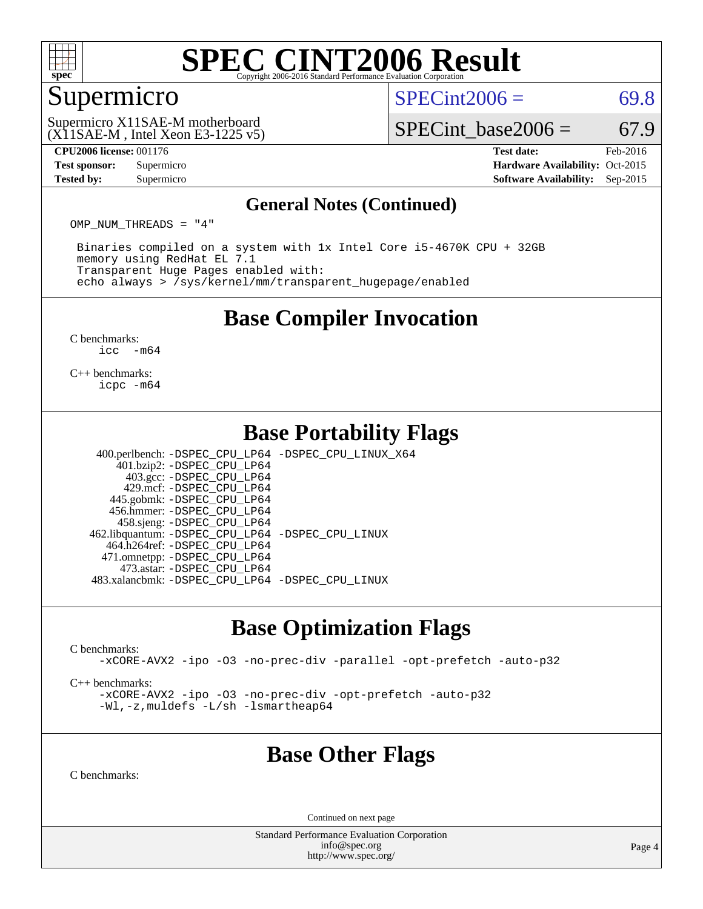

### Supermicro

 $SPECint2006 = 69.8$  $SPECint2006 = 69.8$ 

(X11SAE-M , Intel Xeon E3-1225 v5) Supermicro X11SAE-M motherboard

SPECint base2006 =  $67.9$ 

**[CPU2006 license:](http://www.spec.org/auto/cpu2006/Docs/result-fields.html#CPU2006license)** 001176 **[Test date:](http://www.spec.org/auto/cpu2006/Docs/result-fields.html#Testdate)** Feb-2016 **[Test sponsor:](http://www.spec.org/auto/cpu2006/Docs/result-fields.html#Testsponsor)** Supermicro Supermicro **[Hardware Availability:](http://www.spec.org/auto/cpu2006/Docs/result-fields.html#HardwareAvailability)** Oct-2015 **[Tested by:](http://www.spec.org/auto/cpu2006/Docs/result-fields.html#Testedby)** Supermicro **Supermicro [Software Availability:](http://www.spec.org/auto/cpu2006/Docs/result-fields.html#SoftwareAvailability)** Sep-2015

#### **[General Notes \(Continued\)](http://www.spec.org/auto/cpu2006/Docs/result-fields.html#GeneralNotes)**

OMP\_NUM\_THREADS = "4"

 Binaries compiled on a system with 1x Intel Core i5-4670K CPU + 32GB memory using RedHat EL 7.1 Transparent Huge Pages enabled with: echo always > /sys/kernel/mm/transparent\_hugepage/enabled

### **[Base Compiler Invocation](http://www.spec.org/auto/cpu2006/Docs/result-fields.html#BaseCompilerInvocation)**

[C benchmarks](http://www.spec.org/auto/cpu2006/Docs/result-fields.html#Cbenchmarks): [icc -m64](http://www.spec.org/cpu2006/results/res2016q1/cpu2006-20160307-39284.flags.html#user_CCbase_intel_icc_64bit_f346026e86af2a669e726fe758c88044)

[C++ benchmarks:](http://www.spec.org/auto/cpu2006/Docs/result-fields.html#CXXbenchmarks) [icpc -m64](http://www.spec.org/cpu2006/results/res2016q1/cpu2006-20160307-39284.flags.html#user_CXXbase_intel_icpc_64bit_fc66a5337ce925472a5c54ad6a0de310)

### **[Base Portability Flags](http://www.spec.org/auto/cpu2006/Docs/result-fields.html#BasePortabilityFlags)**

 400.perlbench: [-DSPEC\\_CPU\\_LP64](http://www.spec.org/cpu2006/results/res2016q1/cpu2006-20160307-39284.flags.html#b400.perlbench_basePORTABILITY_DSPEC_CPU_LP64) [-DSPEC\\_CPU\\_LINUX\\_X64](http://www.spec.org/cpu2006/results/res2016q1/cpu2006-20160307-39284.flags.html#b400.perlbench_baseCPORTABILITY_DSPEC_CPU_LINUX_X64) 401.bzip2: [-DSPEC\\_CPU\\_LP64](http://www.spec.org/cpu2006/results/res2016q1/cpu2006-20160307-39284.flags.html#suite_basePORTABILITY401_bzip2_DSPEC_CPU_LP64) 403.gcc: [-DSPEC\\_CPU\\_LP64](http://www.spec.org/cpu2006/results/res2016q1/cpu2006-20160307-39284.flags.html#suite_basePORTABILITY403_gcc_DSPEC_CPU_LP64) 429.mcf: [-DSPEC\\_CPU\\_LP64](http://www.spec.org/cpu2006/results/res2016q1/cpu2006-20160307-39284.flags.html#suite_basePORTABILITY429_mcf_DSPEC_CPU_LP64) 445.gobmk: [-DSPEC\\_CPU\\_LP64](http://www.spec.org/cpu2006/results/res2016q1/cpu2006-20160307-39284.flags.html#suite_basePORTABILITY445_gobmk_DSPEC_CPU_LP64) 456.hmmer: [-DSPEC\\_CPU\\_LP64](http://www.spec.org/cpu2006/results/res2016q1/cpu2006-20160307-39284.flags.html#suite_basePORTABILITY456_hmmer_DSPEC_CPU_LP64) 458.sjeng: [-DSPEC\\_CPU\\_LP64](http://www.spec.org/cpu2006/results/res2016q1/cpu2006-20160307-39284.flags.html#suite_basePORTABILITY458_sjeng_DSPEC_CPU_LP64) 462.libquantum: [-DSPEC\\_CPU\\_LP64](http://www.spec.org/cpu2006/results/res2016q1/cpu2006-20160307-39284.flags.html#suite_basePORTABILITY462_libquantum_DSPEC_CPU_LP64) [-DSPEC\\_CPU\\_LINUX](http://www.spec.org/cpu2006/results/res2016q1/cpu2006-20160307-39284.flags.html#b462.libquantum_baseCPORTABILITY_DSPEC_CPU_LINUX)

 464.h264ref: [-DSPEC\\_CPU\\_LP64](http://www.spec.org/cpu2006/results/res2016q1/cpu2006-20160307-39284.flags.html#suite_basePORTABILITY464_h264ref_DSPEC_CPU_LP64) 471.omnetpp: [-DSPEC\\_CPU\\_LP64](http://www.spec.org/cpu2006/results/res2016q1/cpu2006-20160307-39284.flags.html#suite_basePORTABILITY471_omnetpp_DSPEC_CPU_LP64) 473.astar: [-DSPEC\\_CPU\\_LP64](http://www.spec.org/cpu2006/results/res2016q1/cpu2006-20160307-39284.flags.html#suite_basePORTABILITY473_astar_DSPEC_CPU_LP64) 483.xalancbmk: [-DSPEC\\_CPU\\_LP64](http://www.spec.org/cpu2006/results/res2016q1/cpu2006-20160307-39284.flags.html#suite_basePORTABILITY483_xalancbmk_DSPEC_CPU_LP64) [-DSPEC\\_CPU\\_LINUX](http://www.spec.org/cpu2006/results/res2016q1/cpu2006-20160307-39284.flags.html#b483.xalancbmk_baseCXXPORTABILITY_DSPEC_CPU_LINUX)

### **[Base Optimization Flags](http://www.spec.org/auto/cpu2006/Docs/result-fields.html#BaseOptimizationFlags)**

[C benchmarks](http://www.spec.org/auto/cpu2006/Docs/result-fields.html#Cbenchmarks):

[-xCORE-AVX2](http://www.spec.org/cpu2006/results/res2016q1/cpu2006-20160307-39284.flags.html#user_CCbase_f-xAVX2_5f5fc0cbe2c9f62c816d3e45806c70d7) [-ipo](http://www.spec.org/cpu2006/results/res2016q1/cpu2006-20160307-39284.flags.html#user_CCbase_f-ipo) [-O3](http://www.spec.org/cpu2006/results/res2016q1/cpu2006-20160307-39284.flags.html#user_CCbase_f-O3) [-no-prec-div](http://www.spec.org/cpu2006/results/res2016q1/cpu2006-20160307-39284.flags.html#user_CCbase_f-no-prec-div) [-parallel](http://www.spec.org/cpu2006/results/res2016q1/cpu2006-20160307-39284.flags.html#user_CCbase_f-parallel) [-opt-prefetch](http://www.spec.org/cpu2006/results/res2016q1/cpu2006-20160307-39284.flags.html#user_CCbase_f-opt-prefetch) [-auto-p32](http://www.spec.org/cpu2006/results/res2016q1/cpu2006-20160307-39284.flags.html#user_CCbase_f-auto-p32)

[C++ benchmarks:](http://www.spec.org/auto/cpu2006/Docs/result-fields.html#CXXbenchmarks)

[-xCORE-AVX2](http://www.spec.org/cpu2006/results/res2016q1/cpu2006-20160307-39284.flags.html#user_CXXbase_f-xAVX2_5f5fc0cbe2c9f62c816d3e45806c70d7) [-ipo](http://www.spec.org/cpu2006/results/res2016q1/cpu2006-20160307-39284.flags.html#user_CXXbase_f-ipo) [-O3](http://www.spec.org/cpu2006/results/res2016q1/cpu2006-20160307-39284.flags.html#user_CXXbase_f-O3) [-no-prec-div](http://www.spec.org/cpu2006/results/res2016q1/cpu2006-20160307-39284.flags.html#user_CXXbase_f-no-prec-div) [-opt-prefetch](http://www.spec.org/cpu2006/results/res2016q1/cpu2006-20160307-39284.flags.html#user_CXXbase_f-opt-prefetch) [-auto-p32](http://www.spec.org/cpu2006/results/res2016q1/cpu2006-20160307-39284.flags.html#user_CXXbase_f-auto-p32) [-Wl,-z,muldefs](http://www.spec.org/cpu2006/results/res2016q1/cpu2006-20160307-39284.flags.html#user_CXXbase_link_force_multiple1_74079c344b956b9658436fd1b6dd3a8a) [-L/sh -lsmartheap64](http://www.spec.org/cpu2006/results/res2016q1/cpu2006-20160307-39284.flags.html#user_CXXbase_SmartHeap64_ed4ef857ce90951921efb0d91eb88472)

### **[Base Other Flags](http://www.spec.org/auto/cpu2006/Docs/result-fields.html#BaseOtherFlags)**

[C benchmarks](http://www.spec.org/auto/cpu2006/Docs/result-fields.html#Cbenchmarks):

Continued on next page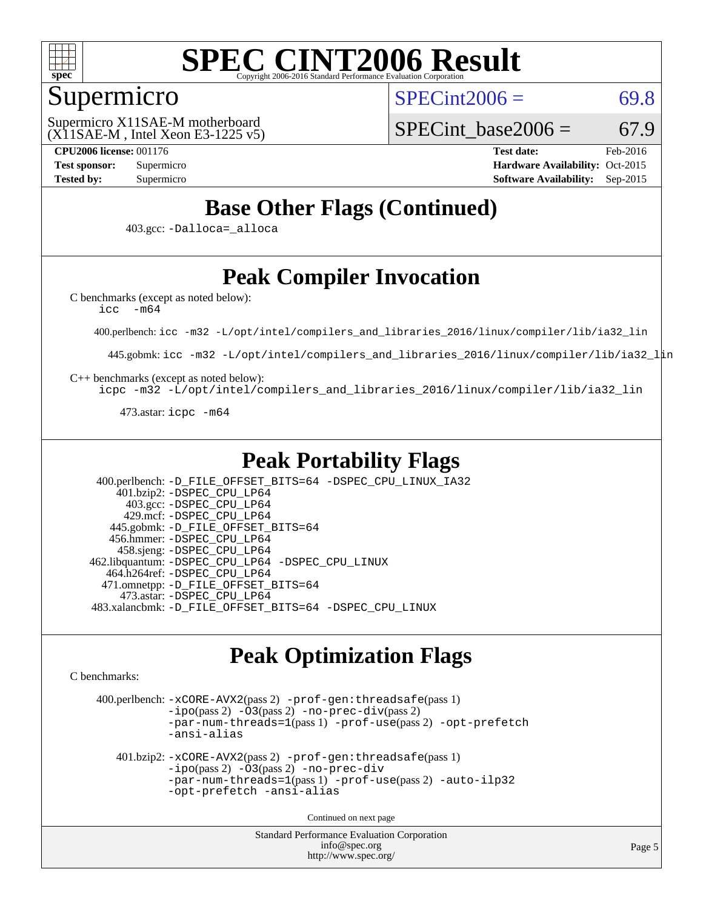

### Supermicro

 $SPECint2006 = 69.8$  $SPECint2006 = 69.8$ 

(X11SAE-M , Intel Xeon E3-1225 v5) Supermicro X11SAE-M motherboard

SPECint base2006 =  $67.9$ 

**[CPU2006 license:](http://www.spec.org/auto/cpu2006/Docs/result-fields.html#CPU2006license)** 001176 **[Test date:](http://www.spec.org/auto/cpu2006/Docs/result-fields.html#Testdate)** Feb-2016 **[Test sponsor:](http://www.spec.org/auto/cpu2006/Docs/result-fields.html#Testsponsor)** Supermicro Supermicro **[Hardware Availability:](http://www.spec.org/auto/cpu2006/Docs/result-fields.html#HardwareAvailability)** Oct-2015 **[Tested by:](http://www.spec.org/auto/cpu2006/Docs/result-fields.html#Testedby)** Supermicro **Supermicro [Software Availability:](http://www.spec.org/auto/cpu2006/Docs/result-fields.html#SoftwareAvailability)** Sep-2015

### **[Base Other Flags \(Continued\)](http://www.spec.org/auto/cpu2006/Docs/result-fields.html#BaseOtherFlags)**

403.gcc: [-Dalloca=\\_alloca](http://www.spec.org/cpu2006/results/res2016q1/cpu2006-20160307-39284.flags.html#b403.gcc_baseEXTRA_CFLAGS_Dalloca_be3056838c12de2578596ca5467af7f3)

### **[Peak Compiler Invocation](http://www.spec.org/auto/cpu2006/Docs/result-fields.html#PeakCompilerInvocation)**

[C benchmarks \(except as noted below\)](http://www.spec.org/auto/cpu2006/Docs/result-fields.html#Cbenchmarksexceptasnotedbelow):

[icc -m64](http://www.spec.org/cpu2006/results/res2016q1/cpu2006-20160307-39284.flags.html#user_CCpeak_intel_icc_64bit_f346026e86af2a669e726fe758c88044)

400.perlbench: [icc -m32 -L/opt/intel/compilers\\_and\\_libraries\\_2016/linux/compiler/lib/ia32\\_lin](http://www.spec.org/cpu2006/results/res2016q1/cpu2006-20160307-39284.flags.html#user_peakCCLD400_perlbench_intel_icc_e10256ba5924b668798078a321b0cb3f)

445.gobmk: [icc -m32 -L/opt/intel/compilers\\_and\\_libraries\\_2016/linux/compiler/lib/ia32\\_lin](http://www.spec.org/cpu2006/results/res2016q1/cpu2006-20160307-39284.flags.html#user_peakCCLD445_gobmk_intel_icc_e10256ba5924b668798078a321b0cb3f)

[C++ benchmarks \(except as noted below\):](http://www.spec.org/auto/cpu2006/Docs/result-fields.html#CXXbenchmarksexceptasnotedbelow)

[icpc -m32 -L/opt/intel/compilers\\_and\\_libraries\\_2016/linux/compiler/lib/ia32\\_lin](http://www.spec.org/cpu2006/results/res2016q1/cpu2006-20160307-39284.flags.html#user_CXXpeak_intel_icpc_b4f50a394bdb4597aa5879c16bc3f5c5)

473.astar: [icpc -m64](http://www.spec.org/cpu2006/results/res2016q1/cpu2006-20160307-39284.flags.html#user_peakCXXLD473_astar_intel_icpc_64bit_fc66a5337ce925472a5c54ad6a0de310)

### **[Peak Portability Flags](http://www.spec.org/auto/cpu2006/Docs/result-fields.html#PeakPortabilityFlags)**

 400.perlbench: [-D\\_FILE\\_OFFSET\\_BITS=64](http://www.spec.org/cpu2006/results/res2016q1/cpu2006-20160307-39284.flags.html#user_peakPORTABILITY400_perlbench_file_offset_bits_64_438cf9856305ebd76870a2c6dc2689ab) [-DSPEC\\_CPU\\_LINUX\\_IA32](http://www.spec.org/cpu2006/results/res2016q1/cpu2006-20160307-39284.flags.html#b400.perlbench_peakCPORTABILITY_DSPEC_CPU_LINUX_IA32) 401.bzip2: [-DSPEC\\_CPU\\_LP64](http://www.spec.org/cpu2006/results/res2016q1/cpu2006-20160307-39284.flags.html#suite_peakPORTABILITY401_bzip2_DSPEC_CPU_LP64) 403.gcc: [-DSPEC\\_CPU\\_LP64](http://www.spec.org/cpu2006/results/res2016q1/cpu2006-20160307-39284.flags.html#suite_peakPORTABILITY403_gcc_DSPEC_CPU_LP64) 429.mcf: [-DSPEC\\_CPU\\_LP64](http://www.spec.org/cpu2006/results/res2016q1/cpu2006-20160307-39284.flags.html#suite_peakPORTABILITY429_mcf_DSPEC_CPU_LP64) 445.gobmk: [-D\\_FILE\\_OFFSET\\_BITS=64](http://www.spec.org/cpu2006/results/res2016q1/cpu2006-20160307-39284.flags.html#user_peakPORTABILITY445_gobmk_file_offset_bits_64_438cf9856305ebd76870a2c6dc2689ab) 456.hmmer: [-DSPEC\\_CPU\\_LP64](http://www.spec.org/cpu2006/results/res2016q1/cpu2006-20160307-39284.flags.html#suite_peakPORTABILITY456_hmmer_DSPEC_CPU_LP64) 458.sjeng: [-DSPEC\\_CPU\\_LP64](http://www.spec.org/cpu2006/results/res2016q1/cpu2006-20160307-39284.flags.html#suite_peakPORTABILITY458_sjeng_DSPEC_CPU_LP64) 462.libquantum: [-DSPEC\\_CPU\\_LP64](http://www.spec.org/cpu2006/results/res2016q1/cpu2006-20160307-39284.flags.html#suite_peakPORTABILITY462_libquantum_DSPEC_CPU_LP64) [-DSPEC\\_CPU\\_LINUX](http://www.spec.org/cpu2006/results/res2016q1/cpu2006-20160307-39284.flags.html#b462.libquantum_peakCPORTABILITY_DSPEC_CPU_LINUX) 464.h264ref: [-DSPEC\\_CPU\\_LP64](http://www.spec.org/cpu2006/results/res2016q1/cpu2006-20160307-39284.flags.html#suite_peakPORTABILITY464_h264ref_DSPEC_CPU_LP64) 471.omnetpp: [-D\\_FILE\\_OFFSET\\_BITS=64](http://www.spec.org/cpu2006/results/res2016q1/cpu2006-20160307-39284.flags.html#user_peakPORTABILITY471_omnetpp_file_offset_bits_64_438cf9856305ebd76870a2c6dc2689ab) 473.astar: [-DSPEC\\_CPU\\_LP64](http://www.spec.org/cpu2006/results/res2016q1/cpu2006-20160307-39284.flags.html#suite_peakPORTABILITY473_astar_DSPEC_CPU_LP64) 483.xalancbmk: [-D\\_FILE\\_OFFSET\\_BITS=64](http://www.spec.org/cpu2006/results/res2016q1/cpu2006-20160307-39284.flags.html#user_peakPORTABILITY483_xalancbmk_file_offset_bits_64_438cf9856305ebd76870a2c6dc2689ab) [-DSPEC\\_CPU\\_LINUX](http://www.spec.org/cpu2006/results/res2016q1/cpu2006-20160307-39284.flags.html#b483.xalancbmk_peakCXXPORTABILITY_DSPEC_CPU_LINUX)

### **[Peak Optimization Flags](http://www.spec.org/auto/cpu2006/Docs/result-fields.html#PeakOptimizationFlags)**

[C benchmarks](http://www.spec.org/auto/cpu2006/Docs/result-fields.html#Cbenchmarks):

 400.perlbench: [-xCORE-AVX2](http://www.spec.org/cpu2006/results/res2016q1/cpu2006-20160307-39284.flags.html#user_peakPASS2_CFLAGSPASS2_LDCFLAGS400_perlbench_f-xAVX2_5f5fc0cbe2c9f62c816d3e45806c70d7)(pass 2) [-prof-gen:threadsafe](http://www.spec.org/cpu2006/results/res2016q1/cpu2006-20160307-39284.flags.html#user_peakPASS1_CFLAGSPASS1_LDCFLAGS400_perlbench_prof_gen_21a26eb79f378b550acd7bec9fe4467a)(pass 1)  $-i\text{po}(pass 2) -O3(pass 2) -no-prec-div(pass 2)$  $-i\text{po}(pass 2) -O3(pass 2) -no-prec-div(pass 2)$  $-i\text{po}(pass 2) -O3(pass 2) -no-prec-div(pass 2)$  $-i\text{po}(pass 2) -O3(pass 2) -no-prec-div(pass 2)$  $-i\text{po}(pass 2) -O3(pass 2) -no-prec-div(pass 2)$ [-par-num-threads=1](http://www.spec.org/cpu2006/results/res2016q1/cpu2006-20160307-39284.flags.html#user_peakPASS1_CFLAGSPASS1_LDCFLAGS400_perlbench_par_num_threads_786a6ff141b4e9e90432e998842df6c2)(pass 1) [-prof-use](http://www.spec.org/cpu2006/results/res2016q1/cpu2006-20160307-39284.flags.html#user_peakPASS2_CFLAGSPASS2_LDCFLAGS400_perlbench_prof_use_bccf7792157ff70d64e32fe3e1250b55)(pass 2) [-opt-prefetch](http://www.spec.org/cpu2006/results/res2016q1/cpu2006-20160307-39284.flags.html#user_peakCOPTIMIZE400_perlbench_f-opt-prefetch) [-ansi-alias](http://www.spec.org/cpu2006/results/res2016q1/cpu2006-20160307-39284.flags.html#user_peakCOPTIMIZE400_perlbench_f-ansi-alias) 401.bzip2: [-xCORE-AVX2](http://www.spec.org/cpu2006/results/res2016q1/cpu2006-20160307-39284.flags.html#user_peakPASS2_CFLAGSPASS2_LDCFLAGS401_bzip2_f-xAVX2_5f5fc0cbe2c9f62c816d3e45806c70d7)(pass 2) [-prof-gen:threadsafe](http://www.spec.org/cpu2006/results/res2016q1/cpu2006-20160307-39284.flags.html#user_peakPASS1_CFLAGSPASS1_LDCFLAGS401_bzip2_prof_gen_21a26eb79f378b550acd7bec9fe4467a)(pass 1) [-ipo](http://www.spec.org/cpu2006/results/res2016q1/cpu2006-20160307-39284.flags.html#user_peakPASS2_CFLAGSPASS2_LDCFLAGS401_bzip2_f-ipo)(pass 2) [-O3](http://www.spec.org/cpu2006/results/res2016q1/cpu2006-20160307-39284.flags.html#user_peakPASS2_CFLAGSPASS2_LDCFLAGS401_bzip2_f-O3)(pass 2) [-no-prec-div](http://www.spec.org/cpu2006/results/res2016q1/cpu2006-20160307-39284.flags.html#user_peakCOPTIMIZEPASS2_CFLAGSPASS2_LDCFLAGS401_bzip2_f-no-prec-div) [-par-num-threads=1](http://www.spec.org/cpu2006/results/res2016q1/cpu2006-20160307-39284.flags.html#user_peakPASS1_CFLAGSPASS1_LDCFLAGS401_bzip2_par_num_threads_786a6ff141b4e9e90432e998842df6c2)(pass 1) [-prof-use](http://www.spec.org/cpu2006/results/res2016q1/cpu2006-20160307-39284.flags.html#user_peakPASS2_CFLAGSPASS2_LDCFLAGS401_bzip2_prof_use_bccf7792157ff70d64e32fe3e1250b55)(pass 2) [-auto-ilp32](http://www.spec.org/cpu2006/results/res2016q1/cpu2006-20160307-39284.flags.html#user_peakCOPTIMIZE401_bzip2_f-auto-ilp32) [-opt-prefetch](http://www.spec.org/cpu2006/results/res2016q1/cpu2006-20160307-39284.flags.html#user_peakCOPTIMIZE401_bzip2_f-opt-prefetch) [-ansi-alias](http://www.spec.org/cpu2006/results/res2016q1/cpu2006-20160307-39284.flags.html#user_peakCOPTIMIZE401_bzip2_f-ansi-alias) Continued on next page

> Standard Performance Evaluation Corporation [info@spec.org](mailto:info@spec.org) <http://www.spec.org/>

Page 5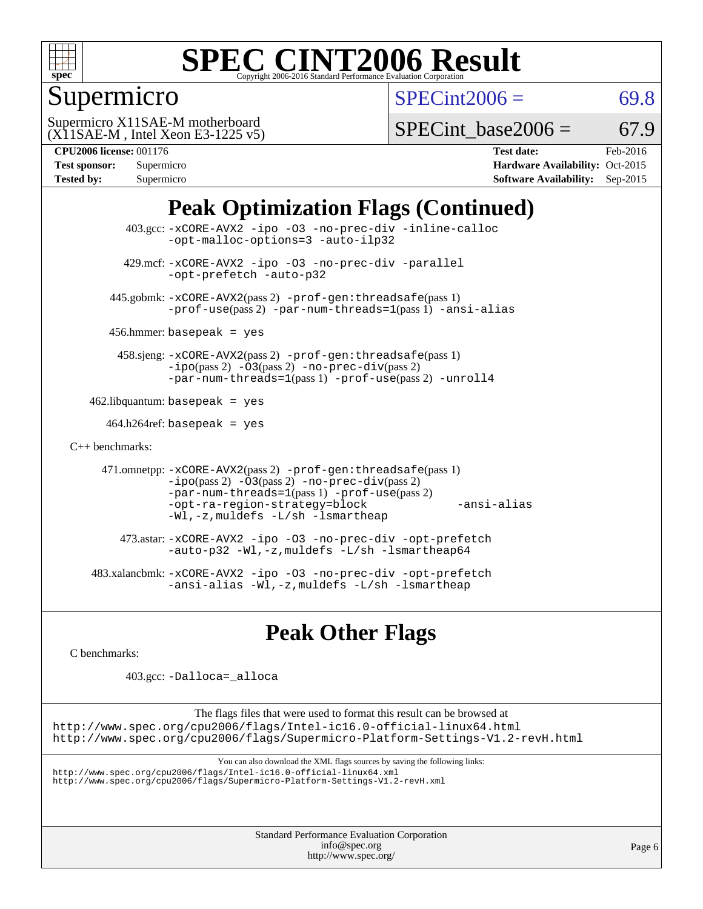

### Supermicro

 $SPECint2006 = 69.8$  $SPECint2006 = 69.8$ 

(X11SAE-M , Intel Xeon E3-1225 v5) Supermicro X11SAE-M motherboard

SPECint base2006 =  $67.9$ 

| <b>Test sponsor:</b> | Supermicro |
|----------------------|------------|
| <b>Tested by:</b>    | Supermicro |

**[CPU2006 license:](http://www.spec.org/auto/cpu2006/Docs/result-fields.html#CPU2006license)** 001176 **[Test date:](http://www.spec.org/auto/cpu2006/Docs/result-fields.html#Testdate)** Feb-2016 **[Hardware Availability:](http://www.spec.org/auto/cpu2006/Docs/result-fields.html#HardwareAvailability)** Oct-2015 **[Software Availability:](http://www.spec.org/auto/cpu2006/Docs/result-fields.html#SoftwareAvailability)** Sep-2015

### **[Peak Optimization Flags \(Continued\)](http://www.spec.org/auto/cpu2006/Docs/result-fields.html#PeakOptimizationFlags)**

```
 403.gcc: -xCORE-AVX2 -ipo -O3 -no-prec-div -inline-calloc
                -opt-malloc-options=3 -auto-ilp32
         429.mcf: -xCORE-AVX2 -ipo -O3 -no-prec-div -parallel
                -opt-prefetch -auto-p32
       445.gobmk: -xCORE-AVX2(pass 2) -prof-gen:threadsafe(pass 1)
                -prof-use(pass 2) -par-num-threads=1(pass 1) -ansi-alias
      456.hmmer: basepeak = yes
        458.sjeng: -xCORE-AVX2(pass 2) -prof-gen:threadsafe(pass 1)
                -i\text{po}(pass 2) -\text{O3}(pass 2)-no-prec-div(pass 2)
                -par-num-threads=1(pass 1) -prof-use(pass 2) -unroll4
   462.libquantum: basepeak = yes
     464.h264ref: basepeak = yes
C++ benchmarks: 
      471.omnetpp: -xCORE-AVX2(pass 2) -prof-gen:threadsafe(pass 1)
                -i\text{po}(pass 2) -\overline{O}3(pass 2) -no-prec\div\overline{div}(pass 2)-par-num-threads=1(pass 1) -prof-use(pass 2)
                -opt-ra-region-strategy=block -ansi-alias
                -Wl,-z,muldefs -L/sh -lsmartheap
         473.astar: -xCORE-AVX2 -ipo -O3 -no-prec-div -opt-prefetch
                -auto-p32 -Wl,-z,muldefs -L/sh -lsmartheap64
    483.xalancbmk: -xCORE-AVX2 -ipo -O3 -no-prec-div -opt-prefetch
                -ansi-alias -Wl,-z,muldefs -L/sh -lsmartheap
```
### **[Peak Other Flags](http://www.spec.org/auto/cpu2006/Docs/result-fields.html#PeakOtherFlags)**

[C benchmarks](http://www.spec.org/auto/cpu2006/Docs/result-fields.html#Cbenchmarks):

403.gcc: [-Dalloca=\\_alloca](http://www.spec.org/cpu2006/results/res2016q1/cpu2006-20160307-39284.flags.html#b403.gcc_peakEXTRA_CFLAGS_Dalloca_be3056838c12de2578596ca5467af7f3)

The flags files that were used to format this result can be browsed at <http://www.spec.org/cpu2006/flags/Intel-ic16.0-official-linux64.html> <http://www.spec.org/cpu2006/flags/Supermicro-Platform-Settings-V1.2-revH.html>

You can also download the XML flags sources by saving the following links:

<http://www.spec.org/cpu2006/flags/Intel-ic16.0-official-linux64.xml> <http://www.spec.org/cpu2006/flags/Supermicro-Platform-Settings-V1.2-revH.xml>